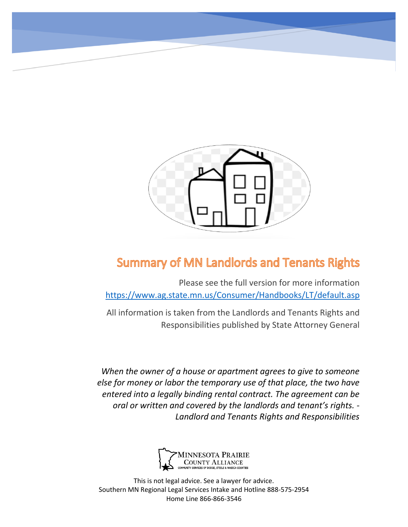

# **Summary of MN Landlords and Tenants Rights**

Please see the full version for more information <https://www.ag.state.mn.us/Consumer/Handbooks/LT/default.asp>

All information is taken from the Landlords and Tenants Rights and Responsibilities published by State Attorney General

*When the owner of a house or apartment agrees to give to someone else for money or labor the temporary use of that place, the two have entered into a legally binding rental contract. The agreement can be oral or written and covered by the landlords and tenant's rights. - Landlord and Tenants Rights and Responsibilities*



This is not legal advice. See a lawyer for advice. Southern MN Regional Legal Services Intake and Hotline 888-575-2954 Home Line 866-866-3546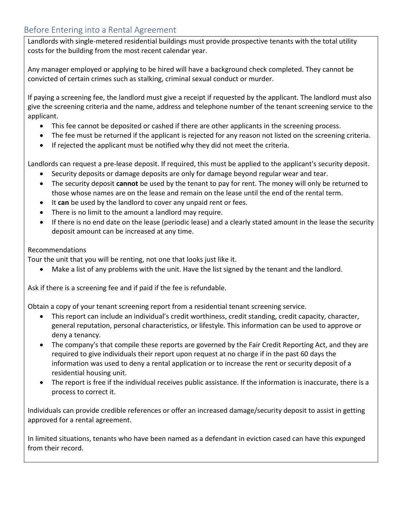## Before Entering into a Rental Agreement

Landlords with single-metered residential buildings must provide prospective tenants with the total utility costs for the building from the most recent calendar year.

Any manager employed or applying to be hired will have a background check completed. They cannot be convicted of certain crimes such as stalking, criminal sexual conduct or murder.

If paying a screening fee, the landlord must give a receipt if requested by the applicant. The landlord must also give the screening criteria and the name, address and telephone number of the tenant screening service to the applicant.

- This fee cannot be deposited or cashed if there are other applicants in the screening process.
- The fee must be returned if the applicant is rejected for any reason not listed on the screening criteria.
- If rejected the applicant must be notified why they did not meet the criteria.

Landlords can request a pre-lease deposit. If required, this must be applied to the applicant's security deposit.

- Security deposits or damage deposits are only for damage beyond regular wear and tear.
- The security deposit **cannot** be used by the tenant to pay for rent. The money will only be returned to those whose names are on the lease and remain on the lease until the end of the rental term.
- It **can** be used by the landlord to cover any unpaid rent or fees.
- There is no limit to the amount a landlord may require.
- If there is no end date on the lease (periodic lease) and a clearly stated amount in the lease the security deposit amount can be increased at any time.

### Recommendations

Tour the unit that you will be renting, not one that looks just like it.

• Make a list of any problems with the unit. Have the list signed by the tenant and the landlord.

Ask if there is a screening fee and if paid if the fee is refundable.

Obtain a copy of your tenant screening report from a residential tenant screening service.

- This report can include an individual's credit worthiness, credit standing, credit capacity, character, general reputation, personal characteristics, or lifestyle. This information can be used to approve or deny a tenancy.
- The company's that compile these reports are governed by the Fair Credit Reporting Act, and they are required to give individuals their report upon request at no charge if in the past 60 days the information was used to deny a rental application or to increase the rent or security deposit of a residential housing unit.
- The report is free if the individual receives public assistance. If the information is inaccurate, there is a process to correct it.

Individuals can provide credible references or offer an increased damage/security deposit to assist in getting approved for a rental agreement.

In limited situations, tenants who have been named as a defendant in eviction cased can have this expunged from their record.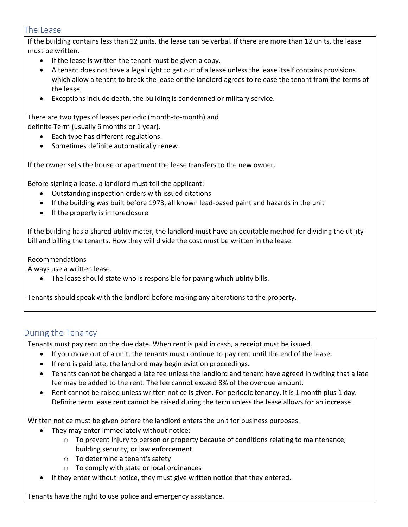### The Lease

If the building contains less than 12 units, the lease can be verbal. If there are more than 12 units, the lease must be written.

- If the lease is written the tenant must be given a copy.
- A tenant does not have a legal right to get out of a lease unless the lease itself contains provisions which allow a tenant to break the lease or the landlord agrees to release the tenant from the terms of the lease.
- Exceptions include death, the building is condemned or military service.

#### There are two types of leases periodic (month-to-month) and definite Term (usually 6 months or 1 year).

- Each type has different regulations.
- Sometimes definite automatically renew.

If the owner sells the house or apartment the lease transfers to the new owner.

Before signing a lease, a landlord must tell the applicant:

- Outstanding inspection orders with issued citations
- If the building was built before 1978, all known lead-based paint and hazards in the unit
- If the property is in foreclosure

If the building has a shared utility meter, the landlord must have an equitable method for dividing the utility bill and billing the tenants. How they will divide the cost must be written in the lease.

Recommendations

Always use a written lease.

• The lease should state who is responsible for paying which utility bills.

Tenants should speak with the landlord before making any alterations to the property.

### During the Tenancy

Tenants must pay rent on the due date. When rent is paid in cash, a receipt must be issued.

- If you move out of a unit, the tenants must continue to pay rent until the end of the lease.
- If rent is paid late, the landlord may begin eviction proceedings.
- Tenants cannot be charged a late fee unless the landlord and tenant have agreed in writing that a late fee may be added to the rent. The fee cannot exceed 8% of the overdue amount.
- Rent cannot be raised unless written notice is given. For periodic tenancy, it is 1 month plus 1 day. Definite term lease rent cannot be raised during the term unless the lease allows for an increase.

Written notice must be given before the landlord enters the unit for business purposes.

- They may enter immediately without notice:
	- $\circ$  To prevent injury to person or property because of conditions relating to maintenance, building security, or law enforcement
	- o To determine a tenant's safety
	- o To comply with state or local ordinances
- If they enter without notice, they must give written notice that they entered.

Tenants have the right to use police and emergency assistance.